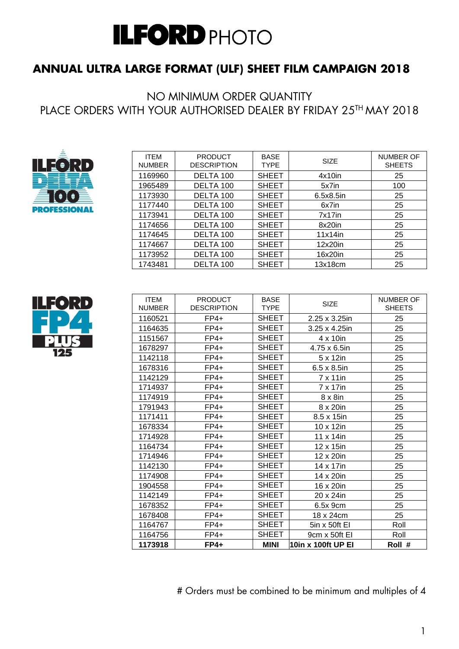## **ANNUAL ULTRA LARGE FORMAT (ULF) SHEET FILM CAMPAIGN 2018**

NO MINIMUM ORDER QUANTITY PLACE ORDERS WITH YOUR AUTHORISED DEALER BY FRIDAY 25TH MAY 2018



| <b>ITEM</b><br><b>NUMBER</b> | <b>PRODUCT</b><br><b>DESCRIPTION</b> | <b>BASE</b><br><b>TYPE</b> | <b>SIZE</b> | <b>NUMBER OF</b><br><b>SHEETS</b> |
|------------------------------|--------------------------------------|----------------------------|-------------|-----------------------------------|
| 1169960                      | DELTA 100                            | <b>SHEET</b>               | $4x10$ in   | 25                                |
| 1965489                      | DELTA 100                            | <b>SHEET</b>               | 5x7in       | 100                               |
| 1173930                      | DELTA 100                            | <b>SHEET</b>               | 6.5x8.5in   | 25                                |
| 1177440                      | DELTA 100                            | <b>SHEET</b>               | 6x7in       | 25                                |
| 1173941                      | DELTA 100                            | <b>SHEET</b>               | $7x17$ in   | 25                                |
| 1174656                      | DELTA 100                            | <b>SHEET</b>               | 8x20in      | 25                                |
| 1174645                      | DELTA 100                            | <b>SHEET</b>               | $11x14$ in  | 25                                |
| 1174667                      | DELTA 100                            | <b>SHEET</b>               | 12x20in     | 25                                |
| 1173952                      | DELTA 100                            | <b>SHEET</b>               | 16x20in     | 25                                |
| 1743481                      | DELTA 100                            | <b>SHEET</b>               | 13x18cm     | 25                                |



| <b>ITEM</b><br><b>NUMBER</b> | <b>PRODUCT</b><br><b>DESCRIPTION</b> | <b>BASE</b><br><b>TYPE</b> | SIZE                | <b>NUMBER OF</b><br><b>SHEETS</b> |
|------------------------------|--------------------------------------|----------------------------|---------------------|-----------------------------------|
| 1160521                      | $FP4+$                               | <b>SHEET</b>               | 2.25 x 3.25in       | 25                                |
| 1164635                      | $FP4+$                               | <b>SHEET</b>               | 3.25 x 4.25in       | 25                                |
| 1151567                      | $FP4+$                               | <b>SHEET</b>               | 4 x 10in            | 25                                |
| 1678297                      | $FP4+$                               | <b>SHEET</b>               | 4.75 x 6.5in        | 25                                |
| 1142118                      | $FP4+$                               | <b>SHEET</b>               | 5 x 12in            | 25                                |
| 1678316                      | $FP4+$                               | <b>SHEET</b>               | $6.5 \times 8.5$ in | 25                                |
| 1142129                      | $FP4+$                               | <b>SHEET</b>               | 7 x 11in            | 25                                |
| 1714937                      | $FP4+$                               | <b>SHEET</b>               | 7 x 17in            | 25                                |
| 1174919                      | $FP4+$                               | <b>SHEET</b>               | $8 \times 8$ in     | 25                                |
| 1791943                      | $FP4+$                               | <b>SHEET</b>               | 8 x 20in            | 25                                |
| 1171411                      | $FP4+$                               | <b>SHEET</b>               | 8.5 x 15in          | 25                                |
| 1678334                      | $FP4+$                               | <b>SHEET</b>               | $10 \times 12$ in   | 25                                |
| 1714928                      | $FP4+$                               | <b>SHEET</b>               | 11 x 14in           | 25                                |
| 1164734                      | $FP4+$                               | <b>SHEET</b>               | 12 x 15in           | 25                                |
| 1714946                      | $FP4+$                               | <b>SHEET</b>               | 12 x 20in           | 25                                |
| 1142130                      | $FP4+$                               | <b>SHEET</b>               | 14 x 17in           | 25                                |
| 1174908                      | $FP4+$                               | <b>SHEET</b>               | 14 x 20in           | 25                                |
| 1904558                      | $FP4+$                               | <b>SHEET</b>               | 16 x 20in           | 25                                |
| 1142149                      | $FP4+$                               | <b>SHEET</b>               | 20 x 24in           | 25                                |
| 1678352                      | $FP4+$                               | <b>SHEET</b>               | 6.5x 9cm            | 25                                |
| 1678408                      | $FP4+$                               | <b>SHEET</b>               | 18 x 24cm           | 25                                |
| 1164767                      | $FP4+$                               | <b>SHEET</b>               | 5in x 50ft EI       | Roll                              |
| 1164756                      | $FP4+$                               | <b>SHEET</b>               | 9cm x 50ft EI       | Roll                              |
| 1173918                      | $FP4+$                               | <b>MINI</b>                | 10in x 100ft UP EI  | Roll #                            |

# Orders must be combined to be minimum and multiples of 4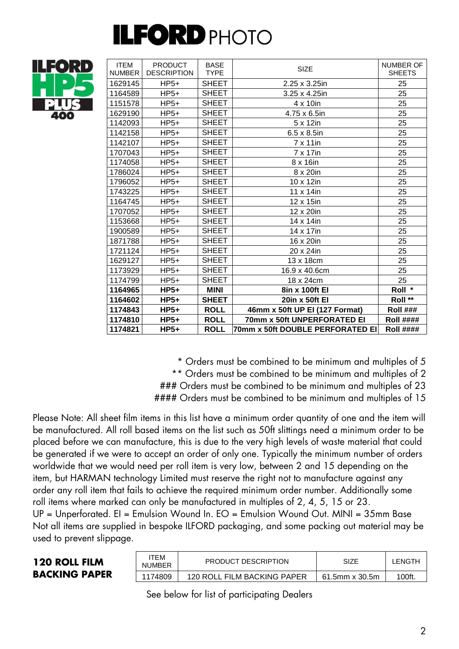

| <b>ITEM</b><br><b>NUMBER</b> | <b>PRODUCT</b><br><b>DESCRIPTION</b> | <b>BASE</b><br><b>TYPE</b> | <b>SIZE</b>                      | <b>NUMBER OF</b><br><b>SHEETS</b> |
|------------------------------|--------------------------------------|----------------------------|----------------------------------|-----------------------------------|
| 1629145                      | $HP5+$                               | <b>SHEET</b>               | 2.25 x 3.25in                    | 25                                |
| 1164589                      | $HP5+$                               | <b>SHEET</b>               | 3.25 x 4.25in                    | 25                                |
| 1151578                      | $HP5+$                               | <b>SHEET</b>               | 4 x 10in                         | 25                                |
| 1629190                      | $HP5+$                               | <b>SHEET</b>               | 4.75 x 6.5in                     | 25                                |
| 1142093                      | $HP5+$                               | <b>SHEET</b>               | 5 x 12in                         | 25                                |
| 1142158                      | $HP5+$                               | <b>SHEET</b>               | $6.5 \times 8.5$ in              | 25                                |
| 1142107                      | $HP5+$                               | <b>SHEET</b>               | $7 \times 11$ in                 | 25                                |
| 1707043                      | $HP5+$                               | <b>SHEET</b>               | 7 x 17in                         | 25                                |
| 1174058                      | $HP5+$                               | <b>SHEET</b>               | 8 x 16in                         | 25                                |
| 1786024                      | $HP5+$                               | <b>SHEET</b>               | 8 x 20in                         | 25                                |
| 1796052                      | $HP5+$                               | <b>SHEET</b>               | 10 x 12in                        | 25                                |
| 1743225                      | $HP5+$                               | <b>SHEET</b>               | 11 x 14in                        | 25                                |
| 1164745                      | $HP5+$                               | <b>SHEET</b>               | 12 x 15in                        | 25                                |
| 1707052                      | $HP5+$                               | <b>SHEET</b>               | 12 x 20in                        | 25                                |
| 1153668                      | $HP5+$                               | <b>SHEET</b>               | 14 x 14in                        | 25                                |
| 1900589                      | $HP5+$                               | <b>SHEET</b>               | 14 x 17in                        | 25                                |
| 1871788                      | $HP5+$                               | <b>SHEET</b>               | 16 x 20in                        | 25                                |
| 1721124                      | $HP5+$                               | <b>SHEET</b>               | 20 x 24in                        | 25                                |
| 1629127                      | $HP5+$                               | <b>SHEET</b>               | 13 x 18cm                        | 25                                |
| 1173929                      | $HP5+$                               | <b>SHEET</b>               | 16.9 x 40.6cm                    | 25                                |
| 1174799                      | $HP5+$                               | <b>SHEET</b>               | 18 x 24cm                        | 25                                |
| 1164965                      | $HP5+$                               | MINI                       | 8in x 100ft El                   | Roll *                            |
| 1164602                      | $HP5+$                               | <b>SHEET</b>               | 20in x 50ft El                   | Roll **                           |
| 1174843                      | $HP5+$                               | <b>ROLL</b>                | 46mm x 50ft UP EI (127 Format)   | <b>Roll ###</b>                   |
| 1174810                      | $HP5+$                               | <b>ROLL</b>                | 70mm x 50ft UNPERFORATED EI      | <b>Roll ####</b>                  |
| 1174821                      | $HP5+$                               | <b>ROLL</b>                | 70mm x 50ft DOUBLE PERFORATED EI | <b>Roll ####</b>                  |

\* Orders must be combined to be minimum and multiples of 5

\*\* Orders must be combined to be minimum and multiples of 2

### Orders must be combined to be minimum and multiples of 23

#### Orders must be combined to be minimum and multiples of 15

Please Note: All sheet film items in this list have a minimum order quantity of one and the item will be manufactured. All roll based items on the list such as 50ft slittings need a minimum order to be placed before we can manufacture, this is due to the very high levels of waste material that could be generated if we were to accept an order of only one. Typically the minimum number of orders worldwide that we would need per roll item is very low, between 2 and 15 depending on the item, but HARMAN technology Limited must reserve the right not to manufacture against any order any roll item that fails to achieve the required minimum order number. Additionally some roll items where marked can only be manufactured in multiples of 2, 4, 5, 15 or 23.

UP = Unperforated. EI = Emulsion Wound In. EO = Emulsion Wound Out. MINI = 35mm Base Not all items are supplied in bespoke ILFORD packaging, and some packing out material may be used to prevent slippage.

#### **120 ROLL FILM BACKING PAPER**

| ITEM<br><b>NUMBER</b> | PRODUCT DESCRIPTION         | SIZE           | <b>LENGTH</b> |
|-----------------------|-----------------------------|----------------|---------------|
| 1174809               | 120 ROLL FILM BACKING PAPER | 61.5mm x 30.5m | 100ft.        |

See below for list of participating Dealers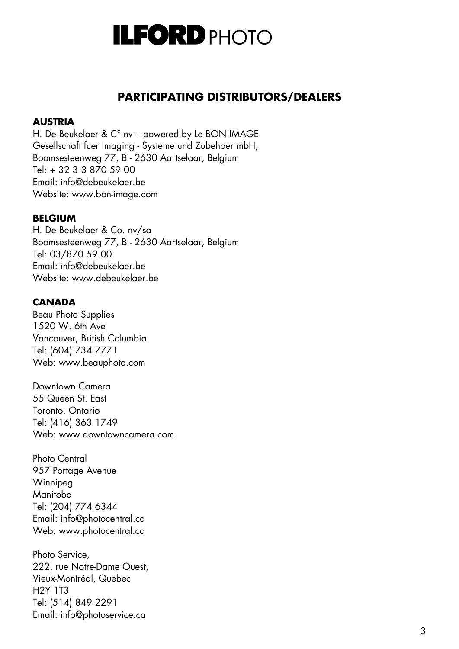

### **PARTICIPATING DISTRIBUTORS/DEALERS**

#### **AUSTRIA**

H. De Beukelaer & C° nv – powered by Le BON IMAGE Gesellschaft fuer Imaging - Systeme und Zubehoer mbH, Boomsesteenweg 77, B - 2630 Aartselaar, Belgium Tel: + 32 3 3 870 59 00 Email: info@debeukelaer.be Website: [www.bon-image.com](http://www.bon-image.com/)

#### **BELGIUM**

H. De Beukelaer & Co. nv/sa Boomsesteenweg 77, B - 2630 Aartselaar, Belgium Tel: 03/870.59.00 Email: info@debeukelaer.be Website: [www.debeukelaer.be](http://www.debeukelaer.be/)

#### **CANADA**

Beau Photo Supplies 1520 W. 6th Ave Vancouver, British Columbia Tel: (604) 734 7771 Web: [www.beauphoto.com](http://www.beauphoto.com/)

Downtown Camera 55 Queen St. East Toronto, Ontario Tel: (416) 363 1749 Web: [www.downtowncamera.com](http://www.downtowncamera.com/)

Photo Central 957 Portage Avenue Winnipeg Manitoba Tel: (204) 774 6344 Email: [info@photocentral.ca](mailto:info@photocentral.ca) Web: [www.photocentral.ca](http://www.photocentral.ca/)

Photo Service, 222, rue Notre-Dame Ouest, Vieux-Montréal, Quebec H2Y 1T3 Tel: (514) 849 2291 Email: info@photoservice.ca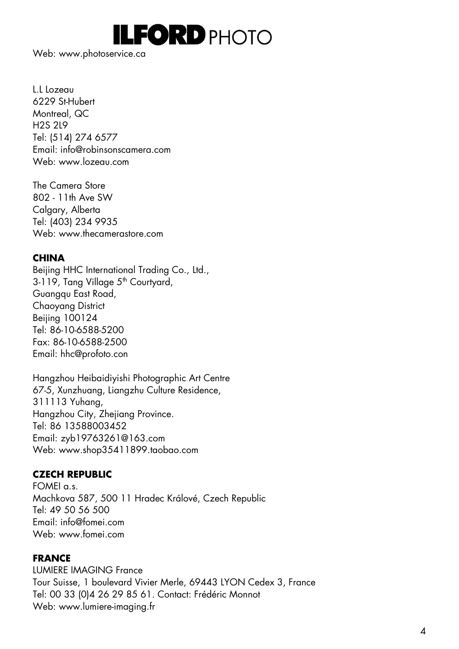

Web: [www.photoservice.ca](http://www.photoservice.ca/)

L.L Lozeau 6229 St-Hubert Montreal, QC H2S 2L9 Tel: (514) 274 6577 Email: info@robinsonscamera.com Web: www.lozeau.com

The Camera Store 802 - 11th Ave SW Calgary, Alberta Tel: (403) 234 9935 Web: [www.thecamerastore.com](http://www.thecamerastore.com/)

#### **CHINA**

Beijing HHC International Trading Co., Ltd., 3-119, Tang Village 5<sup>th</sup> Courtyard, Guangqu East Road, Chaoyang District Beijing 100124 Tel: 86-10-6588-5200 Fax: 86-10-6588-2500 Email: [hhc@profoto.con](mailto:hhc@profoto.con)

Hangzhou Heibaidiyishi Photographic Art Centre 67-5, Xunzhuang, Liangzhu Culture Residence, 311113 Yuhang, Hangzhou City, Zhejiang Province. Tel: 86 13588003452 Email: [zyb19763261@163.com](mailto:zyb19763261@163.com) Web: [www.shop35411899.taobao.com](http://www.shop35411899.taobao.com/)

#### **CZECH REPUBLIC**

 $FOMFI$  a.s. Machkova 587, 500 11 Hradec Králové, Czech Republic Tel: 49 50 56 500 Email: info@fomei.com Web: [www.fomei.com](http://www.fomei.com/)

#### **FRANCE**

LUMIERE IMAGING France Tour Suisse, 1 boulevard Vivier Merle, 69443 LYON Cedex 3, France Tel: 00 33 (0)4 26 29 85 61. Contact: Frédéric Monnot Web: [www.lumiere-imaging.fr](http://www.lumiere-imaging.fr/)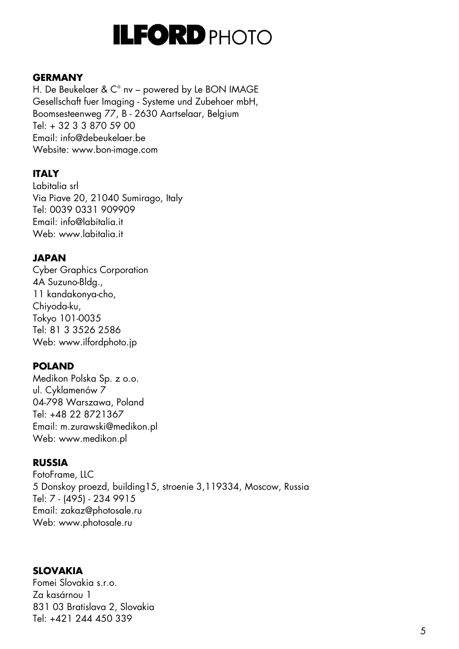

#### **GERMANY**

H. De Beukelaer & C° nv – powered by Le BON IMAGE Gesellschaft fuer Imaging - Systeme und Zubehoer mbH, Boomsesteenweg 77, B - 2630 Aartselaar, Belgium  $Tel + 32338705900$ Email: info@debeukelaer.be Website: [www.bon-image.com](http://www.bon-image.com/)

#### **ITALY**

Labitalia srl Via Piave 20, 21040 Sumirago, Italy Tel: 0039 0331 909909 Email: info@labitalia.it Web: [www.labitalia.it](http://www.labitalia.it/)

#### **JAPAN**

Cyber Graphics Corporation 4A Suzuno-Bldg., 11 kandakonya-cho, Chiyoda-ku, Tokyo 101-0035 Tel: 81 3 3526 2586 Web: [www.ilfordphoto.jp](http://www.ilfordphoto.jp/)

#### **POLAND**

Medikon Polska Sp. z o.o. ul. Cyklamenów 7 04-798 Warszawa, Poland Tel: +48 22 8721367 Email: m.zurawski@medikon.pl Web: [www.medikon.pl](http://www.medikon.pl/)

#### **RUSSIA**

FotoFrame, LLC 5 Donskoy proezd, building15, stroenie 3,119334, Moscow, Russia Tel: 7 - (495) - 234 9915 Email: [zakaz@photosale.ru](mailto:info@photosale.ru) Web: www.photosale.ru

#### **SLOVAKIA**

Fomei Slovakia s.r.o. Za kasárnou 1 831 03 Bratislava 2, Slovakia Tel: +421 244 450 339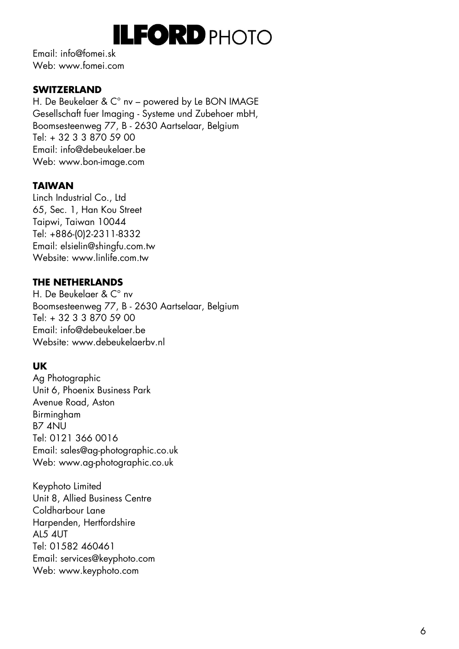Email: info@fomei.sk Web: www.fomei.com

#### **SWITZERLAND**

H. De Beukelaer & C° nv – powered by Le BON IMAGE Gesellschaft fuer Imaging - Systeme und Zubehoer mbH, Boomsesteenweg 77, B - 2630 Aartselaar, Belgium Tel: + 32 3 3 870 59 00 Email: info@debeukelaer.be Web: www.bon [-image.com](http://www.bon-image.com/)

### **TAIWAN**

Linch Industrial Co., Ltd 65, Sec. 1, Han Kou Street Taipwi, Taiwan 10044 Tel: +886 -(0)2 -2311 -8332 Email: [elsielin@shingfu.com.tw](mailto:elsielin@shingfu.com.tw) Website: [www.linlife.com.tw](http://www.linlife.com.tw/)

#### **THE NETHERLANDS**

H. De Beukelaer & C° nv Boomsesteenweg 77, B - 2630 Aartselaar, Belgium Tel: + 32 3 3 870 59 00 Email: info@debeukelaer.be Website: [www.debeukelaerbv.nl](http://www.debeukelaerbv.nl/)

#### **UK**

Ag Photographic Unit 6, Phoenix Business Park Avenue Road, Aston Birmingham B7 4NU Tel: 0121 366 0016 Email: sales@ag -photographic.co.uk Web: www.ag [-photographic.co.uk](http://www.ag-photographic.co.uk/)

Keyphoto Limited Unit 8, Allied Business Centre Coldharbour Lane Harpenden, Hertfordshire AL5 4UT Tel: 01582 460461 Email: services@keyphoto.com Web: [www.keyphoto.com](http://www.keyphoto.com/)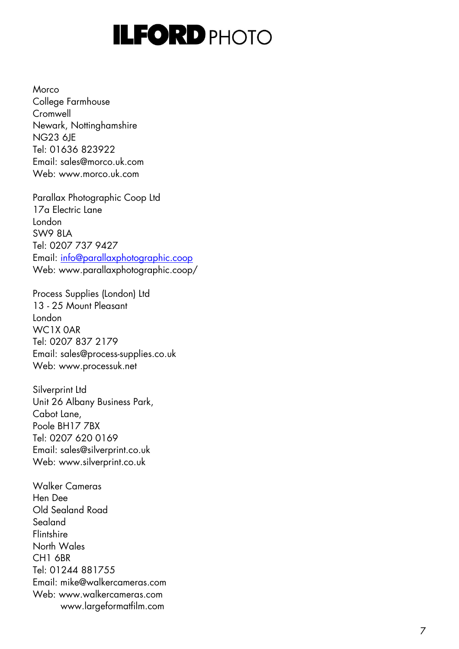Morco College Farmhouse Cromwell Newark, Nottinghamshire NG23 6JE Tel: 01636 823922 Email: sales@morco.uk.com Web: [www.morco.uk.com](http://www.morco.uk.com/)

Parallax Photographic Coop Ltd 17a Electric Lane London SW9 8LA Tel: 0207 737 9427 Email: [info@parallaxphotographic.coop](mailto:info@parallaxphotographic.coop) Web: www.parallaxphotographic.coop/

Process Supplies (London) Ltd 13 - 25 Mount Pleasant London WC1X 0AR Tel: 0207 837 2179 Email: sales@process -supplies.co.uk Web: [www.processuk.net](http://www.process-uk.net/)

Silverprint Ltd Unit 26 Albany Business Park, Cabot Lane, Poole BH17 7BX Tel: 0207 620 0169 Email: sales@silverprint.co.uk Web: [www.silverprint.co.uk](http://www.silverprint.co.uk/)

Walker Cameras Hen Dee Old Sealand Road Sealand **Flintshire** North Wales CH1 6BR Tel: 01244 881755 Email: mike@walkercameras.com Web: [www.walkercameras.com](http://www.walkercameras.com/) www.largeformatfilm.com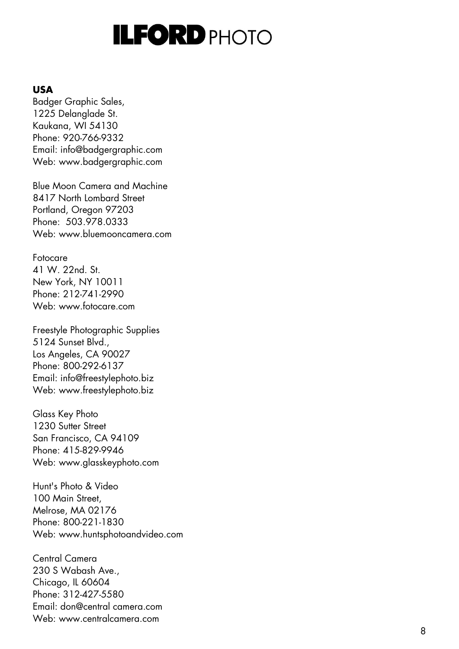#### **USA**

Badger Graphic Sales, 1225 Delanglade St. Kaukana, WI 54130 Phone: 920 -766 -9332 Email: info@badgergraphic.com Web: [www.badgergraphic.com](http://www.badgergraphic.com/)

Blue Moon Camera and Machine 8417 North Lombard Street Portland, Oregon 97203 Phone: 503.978.0333 Web: [www.bluemooncamera.com](http://www.bluemooncamera.com/)

Fotocare 41 W. 22nd. St. New York, NY 10011 Phone: 212 -741 -2990 Web: [www.fotocare.com](http://www.fotocare.com/)

Freestyle Photographic Supplies 5124 Sunset Blvd., Los Angeles, CA 90027 Phone: 800 -292 -6137 Email: info@freestylephoto.biz Web: [www.freestylephoto.biz](http://www.freestylephoto.biz/)

Glass Key Photo 1230 Sutter Street San Francisco, CA 94109 Phone: 415 -829 -9946 Web: [www.glasskeyphoto.com](http://www.glasskeyphoto.com/)

Hunt's Photo & Video 100 Main Street, Melrose, MA 02176 Phone: 800 -221 -1830 Web: [www.huntsphotoandvideo.com](http://www.huntsphotoandvideo.com/)

Central Camera 230 S Wabash Ave., Chicago, IL 60604 Phone: 312 -427 -5580 Email: don@central camera.com Web: [www.centralcamera.com](http://www.centralcamera.com/)